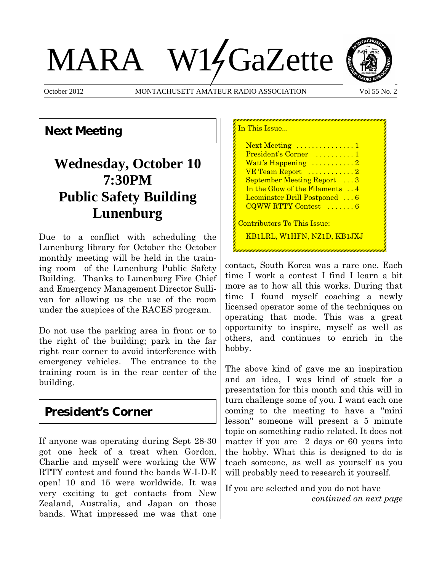# MARA W14GaZette



October 2012 MONTACHUSETT AMATEUR RADIO ASSOCIATION Vol 55 No. 2

In This Issue...

## **Next Meeting**

# **Wednesday, October 10 7:30PM Public Safety Building Lunenburg**

Due to a conflict with scheduling the Lunenburg library for October the October monthly meeting will be held in the training room of the Lunenburg Public Safety Building. Thanks to Lunenburg Fire Chief and Emergency Management Director Sullivan for allowing us the use of the room under the auspices of the RACES program.

Do not use the parking area in front or to the right of the building; park in the far right rear corner to avoid interference with emergency vehicles. The entrance to the training room is in the rear center of the building.

#### **President's Corner**

If anyone was operating during Sept 28-30 got one heck of a treat when Gordon, Charlie and myself were working the WW RTTY contest and found the bands W-I-D-E open! 10 and 15 were worldwide. It was very exciting to get contacts from New Zealand, Australia, and Japan on those bands. What impressed me was that one

Next Meeting ...............1 President's Corner .........1 Watt's Happening ..........2 VE Team Report ...........2 September Meeting Report ...3 In the Glow of the Filaments . . 4 Leominster Drill Postponed ... 6 CQWW RTTY Contest .......6 Contributors To This Issue: KB1LRL, W1HFN, NZ1D, KB1JXJ

contact, South Korea was a rare one. Each time I work a contest I find I learn a bit more as to how all this works. During that time I found myself coaching a newly licensed operator some of the techniques on operating that mode. This was a great opportunity to inspire, myself as well as others, and continues to enrich in the hobby.

The above kind of gave me an inspiration and an idea, I was kind of stuck for a presentation for this month and this will in turn challenge some of you. I want each one coming to the meeting to have a "mini lesson" someone will present a 5 minute topic on something radio related. It does not matter if you are 2 days or 60 years into the hobby. What this is designed to do is teach someone, as well as yourself as you will probably need to research it yourself.

If you are selected and you do not have *continued on next page*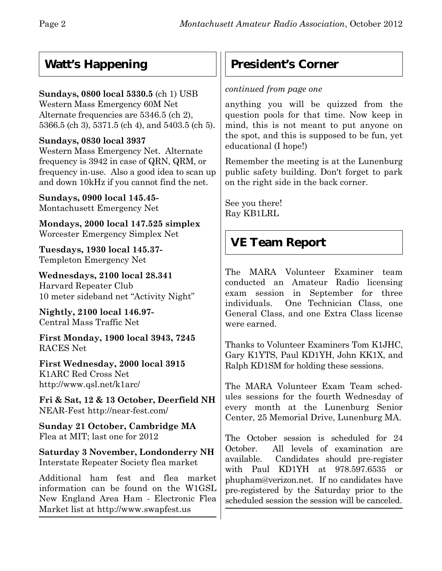## **Watt's Happening**

#### **Sundays, 0800 local 5330.5** (ch 1) USB

Western Mass Emergency 60M Net Alternate frequencies are 5346.5 (ch 2), 5366.5 (ch 3), 5371.5 (ch 4), and 5403.5 (ch 5).

#### **Sundays, 0830 local 3937**

Western Mass Emergency Net. Alternate frequency is 3942 in case of QRN, QRM, or frequency in-use. Also a good idea to scan up and down 10kHz if you cannot find the net.

**Sundays, 0900 local 145.45-** Montachusett Emergency Net

**Mondays, 2000 local 147.525 simplex** Worcester Emergency Simplex Net

**Tuesdays, 1930 local 145.37-** Templeton Emergency Net

**Wednesdays, 2100 local 28.341** Harvard Repeater Club 10 meter sideband net "Activity Night"

**Nightly, 2100 local 146.97-** Central Mass Traffic Net

**First Monday, 1900 local 3943, 7245** RACES Net

**First Wednesday, 2000 local 3915** K1ARC Red Cross Net http://www.qsl.net/k1arc/

**Fri & Sat, 12 & 13 October, Deerfield NH** NEAR-Fest http://near-fest.com/

**Sunday 21 October, Cambridge MA** Flea at MIT; last one for 2012

**Saturday 3 November, Londonderry NH** Interstate Repeater Society flea market

Additional ham fest and flea market information can be found on the W1GSL New England Area Ham - Electronic Flea Market list at http://www.swapfest.us

## **President's Corner**

#### *continued from page one*

anything you will be quizzed from the question pools for that time. Now keep in mind, this is not meant to put anyone on the spot, and this is supposed to be fun, yet educational (I hope!)

Remember the meeting is at the Lunenburg public safety building. Don't forget to park on the right side in the back corner.

See you there! Ray KB1LRL

## **VE Team Report**

The MARA Volunteer Examiner team conducted an Amateur Radio licensing exam session in September for three individuals. One Technician Class, one General Class, and one Extra Class license were earned.

Thanks to Volunteer Examiners Tom K1JHC, Gary K1YTS, Paul KD1YH, John KK1X, and Ralph KD1SM for holding these sessions.

The MARA Volunteer Exam Team schedules sessions for the fourth Wednesday of every month at the Lunenburg Senior Center, 25 Memorial Drive, Lunenburg MA.

The October session is scheduled for 24 October. All levels of examination are available. Candidates should pre-register with Paul KD1YH at 978.597.6535 or phupham@verizon.net.If no candidates have pre-registered by the Saturday prior to the scheduled session the session will be canceled.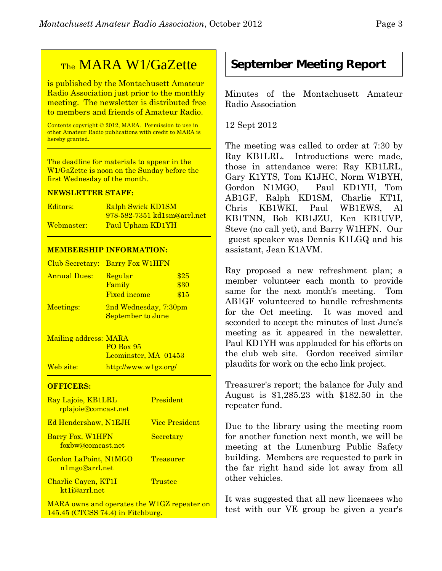## TheMARA W1/GaZette

is published by the Montachusett Amateur Radio Association just prior to the monthly meeting. The newsletter is distributed free to members and friends of Amateur Radio.

Contents copyright © 2012, MARA. Permission to use in other Amateur Radio publications with credit to MARA is hereby granted.

The deadline for materials to appear in the W1/GaZette is noon on the Sunday before the first Wednesday of the month.

#### **NEWSLETTER STAFF:**

| Editors:   | <b>Ralph Swick KD1SM</b>           |
|------------|------------------------------------|
|            | <u>978-582-7351 kd1sm@arrl.net</u> |
| Webmaster: | Paul Upham KD1YH                   |

#### **MEMBERSHIP INFORMATION:**

|                     | Club Secretary: Barry Fox W1HFN                   |                      |
|---------------------|---------------------------------------------------|----------------------|
| <b>Annual Dues:</b> | Regular<br>Family<br><b>Fixed income</b>          | \$25<br>\$30<br>\$15 |
| Meetings:           | 2nd Wednesday, 7:30pm<br><b>September to June</b> |                      |

Mailing address: MARA PO Box 95 Leominster, MA 01453 Web site: http://www.w1gz.org/

#### **OFFICERS:**

| Ray Lajoie, KB1LRL<br><u>rplajoie@comcast.net</u> | President             |
|---------------------------------------------------|-----------------------|
| <b>Ed Hendershaw, N1EJH</b>                       | <b>Vice President</b> |
| Barry Fox, W1HFN<br>foxbw@comcast.net             | Secretary             |
| Gordon LaPoint, N1MGO<br>n1mgo@arrl.net           | <b>Treasurer</b>      |
| Charlie Cayen, KT1I<br>kt <sub>1</sub> i@arrl.net | Trustee               |
| MARA owns and operates the W1GZ repeater on       |                       |

145.45 (CTCSS 74.4) in Fitchburg.

#### **September Meeting Report**

Minutes of the Montachusett Amateur Radio Association

12 Sept 2012

The meeting was called to order at 7:30 by Ray KB1LRL. Introductions were made, those in attendance were: Ray KB1LRL, Gary K1YTS, Tom K1JHC, Norm W1BYH, Gordon N1MGO, Paul KD1YH, Tom AB1GF, Ralph KD1SM, Charlie KT1I, Chris KB1WKI, Paul WB1EWS, Al KB1TNN, Bob KB1JZU, Ken KB1UVP, Steve (no call yet), and Barry W1HFN. Our guest speaker was Dennis K1LGQ and his assistant, Jean K1AVM.

Ray proposed a new refreshment plan; a member volunteer each month to provide same for the next month's meeting. Tom AB1GF volunteered to handle refreshments for the Oct meeting. It was moved and seconded to accept the minutes of last June's meeting as it appeared in the newsletter. Paul KD1YH was applauded for his efforts on the club web site. Gordon received similar plaudits for work on the echo link project.

Treasurer's report; the balance for July and August is \$1,285.23 with \$182.50 in the repeater fund.

Due to the library using the meeting room for another function next month, we will be meeting at the Lunenburg Public Safety building. Members are requested to park in the far right hand side lot away from all other vehicles.

It was suggested that all new licensees who test with our VE group be given a year's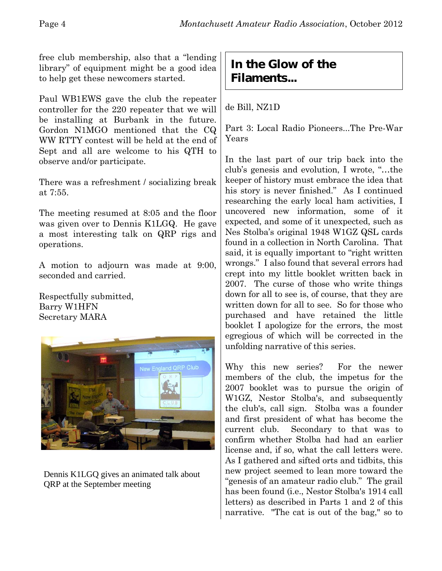free club membership, also that a "lending library" of equipment might be a good idea to help get these newcomers started.

Paul WB1EWS gave the club the repeater controller for the 220 repeater that we will be installing at Burbank in the future. Gordon N1MGO mentioned that the CQ WW RTTY contest will be held at the end of Sept and all are welcome to his QTH to observe and/or participate.

There was a refreshment / socializing break at 7:55.

The meeting resumed at 8:05 and the floor was given over to Dennis K1LGQ. He gave a most interesting talk on QRP rigs and operations.

A motion to adjourn was made at 9:00, seconded and carried.

Respectfully submitted, Barry W1HFN Secretary MARA



Dennis K1LGQ gives an animated talk about QRP at the September meeting

## **In the Glow of the Filaments...**

de Bill, NZ1D

Part 3: Local Radio Pioneers. The Pre-War Years

In the last part of our trip back into the club's genesis and evolution, I wrote, "…the keeper of history must embrace the idea that his story is never finished." As I continued researching the early local ham activities, I uncovered new information, some of it expected, and some of it unexpected, such as Nes Stolba's original 1948 W1GZ QSL cards found in a collection in North Carolina. That said, it is equally important to "right written wrongs." I also found that several errors had crept into my little booklet written back in 2007. The curse of those who write things down for all to see is, of course, that they are written down for all to see. So for those who purchased and have retained the little booklet I apologize for the errors, the most egregious of which will be corrected in the unfolding narrative of this series.

Why this new series? For the newer members of the club, the impetus for the 2007 booklet was to pursue the origin of W1GZ, Nestor Stolba's, and subsequently the club's, call sign. Stolba was a founder and first president of what has become the current club. Secondary to that was to confirm whether Stolba had had an earlier license and, if so, what the call letters were. As I gathered and sifted orts and tidbits, this new project seemed to lean more toward the "genesis of an amateur radio club." The grail has been found (i.e., Nestor Stolba's 1914 call letters) as described in Parts 1 and 2 of this narrative. "The cat is out of the bag," so to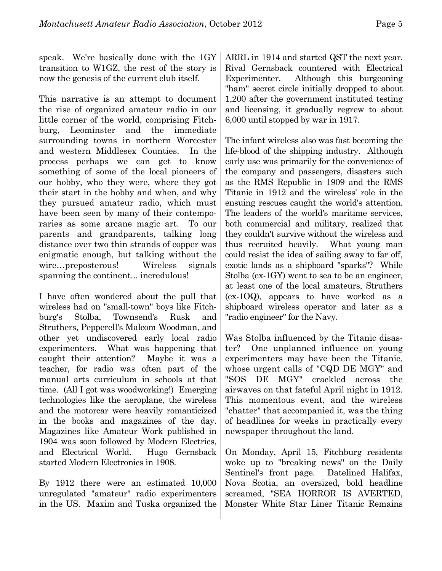speak. We're basically done with the 1GY transition to W1GZ, the rest of the story is now the genesis of the current club itself.

This narrative is an attempt to document the rise of organized amateur radio in our little corner of the world, comprising Fitchburg, Leominster and the immediate surrounding towns in northern Worcester and western Middlesex Counties. In the process perhaps we can get to know something of some of the local pioneers of our hobby, who they were, where they got their start in the hobby and when, and why they pursued amateur radio, which must have been seen by many of their contemporaries as some arcane magic art. To our parents and grandparents, talking long distance over two thin strands of copper was enigmatic enough, but talking without the wire…preposterous! Wireless signals spanning the continent... incredulous!

I have often wondered about the pull that wireless had on "small-town" boys like Fitchburg's Stolba, Townsend's Rusk and Struthers, Pepperell's Malcom Woodman, and other yet undiscovered early local radio experimenters. What was happening that caught their attention? Maybe it was a teacher, for radio was often part of the manual arts curriculum in schools at that time. (All I got was woodworking!) Emerging technologies like the aeroplane, the wireless and the motorcar were heavily romanticized in the books and magazines of the day. Magazines like Amateur Work published in 1904 was soon followed by Modern Electrics, and Electrical World. Hugo Gernsback started Modern Electronics in 1908.

By 1912 there were an estimated 10,000 unregulated "amateur" radio experimenters in the US. Maxim and Tuska organized the

ARRL in 1914 and started QST the next year. Rival Gernsback countered with Electrical Experimenter. Although this burgeoning "ham" secret circle initially dropped to about 1,200 after the government instituted testing and licensing, it gradually regrew to about 6,000 until stopped by war in 1917.

The infant wireless also was fast becoming the life-blood of the shipping industry. Although early use was primarily for the convenience of the company and passengers, disasters such as the RMS Republic in 1909 and the RMS Titanic in 1912 and the wireless' role in the ensuing rescues caught the world's attention. The leaders of the world's maritime services, both commercial and military, realized that they couldn't survive without the wireless and thus recruited heavily. What young man could resist the idea of sailing away to far off, exotic lands as a shipboard "sparks"? While Stolba (ex-1GY) went to sea to be an engineer, at least one of the local amateurs, Struthers (ex-1OQ), appears to have worked as a shipboard wireless operator and later as a "radio engineer" for the Navy.

Was Stolba influenced by the Titanic disaster? One unplanned influence on young experimenters may have been the Titanic, whose urgent calls of "CQD DE MGY" and "SOS DE MGY" crackled across the airwaves on that fateful April night in 1912. This momentous event, and the wireless "chatter" that accompanied it, was the thing of headlines for weeks in practically every newspaper throughout the land.

On Monday, April 15, Fitchburg residents woke up to "breaking news" on the Daily Sentinel's front page. Datelined Halifax, Nova Scotia, an oversized, bold headline screamed, "SEA HORROR IS AVERTED, Monster White Star Liner Titanic Remains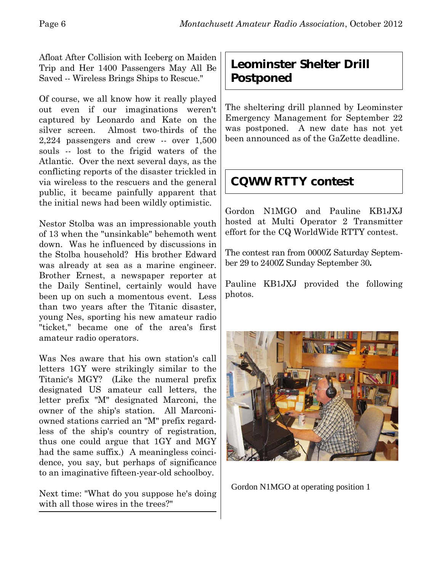Afloat After Collision with Iceberg on Maiden Trip and Her 1400 Passengers May All Be Saved -- Wireless Brings Ships to Rescue."

Of course, we all know how it really played out even if our imaginations weren't captured by Leonardo and Kate on the silver screen. Almost two-thirds of the 2,224 passengers and crew -- over 1,500 souls -- lost to the frigid waters of the Atlantic. Over the next several days, as the conflicting reports of the disaster trickled in via wireless to the rescuers and the general public, it became painfully apparent that the initial news had been wildly optimistic.

Nestor Stolba was an impressionable youth of 13 when the "unsinkable" behemoth went down. Was he influenced by discussions in the Stolba household? His brother Edward was already at sea as a marine engineer. Brother Ernest, a newspaper reporter at the Daily Sentinel, certainly would have been up on such a momentous event. Less than two years after the Titanic disaster, young Nes, sporting his new amateur radio "ticket," became one of the area's first amateur radio operators.

Was Nes aware that his own station's call letters 1GY were strikingly similar to the Titanic's MGY? (Like the numeral prefix designated US amateur call letters, the letter prefix "M" designated Marconi, the owner of the ship's station. All Marconiowned stations carried an "M" prefix regardless of the ship's country of registration, thus one could argue that 1GY and MGY had the same suffix.) A meaningless coincidence, you say, but perhaps of significance to an imaginative fifteen-year-old schoolboy.

Next time: "What do you suppose he's doing with all those wires in the trees?"

## **Leominster Shelter Drill Postponed**

The sheltering drill planned by Leominster Emergency Management for September 22 was postponed. A new date has not yet been announced as of the GaZette deadline.

## **CQWW RTTY contest**

Gordon N1MGO and Pauline KB1JXJ hosted at Multi Operator 2 Transmitter effort for the CQ WorldWide RTTY contest.

The contest ran from 0000Z Saturday September 29 to 2400Z Sunday September 30**.**

Pauline KB1JXJ provided the following photos.



Gordon N1MGO at operating position 1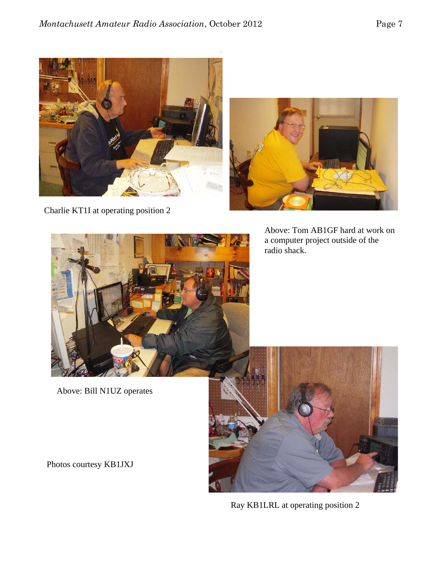



Charlie KT1I at operating position 2

Above: Tom AB1GF hard at work on a computer project outside of the radio shack.



Above: Bill N1UZ operates



Ray KB1LRL at operating position 2

Photos courtesy KB1JXJ